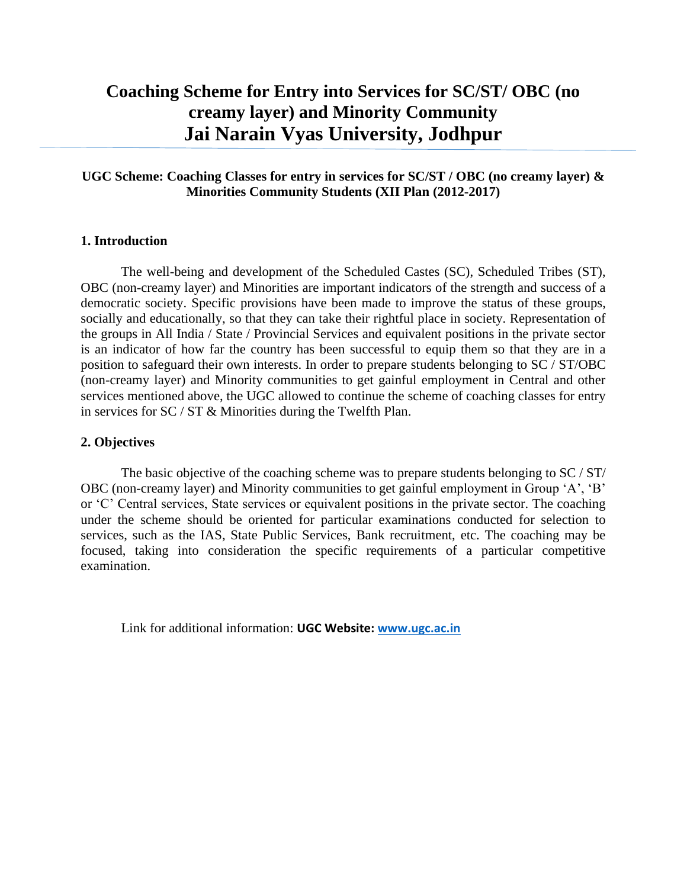# **Coaching Scheme for Entry into Services for SC/ST/ OBC (no creamy layer) and Minority Community Jai Narain Vyas University, Jodhpur**

## **UGC Scheme: Coaching Classes for entry in services for SC/ST / OBC (no creamy layer) & Minorities Community Students (XII Plan (2012-2017)**

### **1. Introduction**

The well-being and development of the Scheduled Castes (SC), Scheduled Tribes (ST), OBC (non-creamy layer) and Minorities are important indicators of the strength and success of a democratic society. Specific provisions have been made to improve the status of these groups, socially and educationally, so that they can take their rightful place in society. Representation of the groups in All India / State / Provincial Services and equivalent positions in the private sector is an indicator of how far the country has been successful to equip them so that they are in a position to safeguard their own interests. In order to prepare students belonging to SC / ST/OBC (non-creamy layer) and Minority communities to get gainful employment in Central and other services mentioned above, the UGC allowed to continue the scheme of coaching classes for entry in services for SC / ST & Minorities during the Twelfth Plan.

#### **2. Objectives**

The basic objective of the coaching scheme was to prepare students belonging to SC / ST/ OBC (non-creamy layer) and Minority communities to get gainful employment in Group 'A', 'B' or 'C' Central services, State services or equivalent positions in the private sector. The coaching under the scheme should be oriented for particular examinations conducted for selection to services, such as the IAS, State Public Services, Bank recruitment, etc. The coaching may be focused, taking into consideration the specific requirements of a particular competitive examination.

Link for additional information: **UGC Website: [www.ugc.ac.in](http://www.ugc.ac.in/)**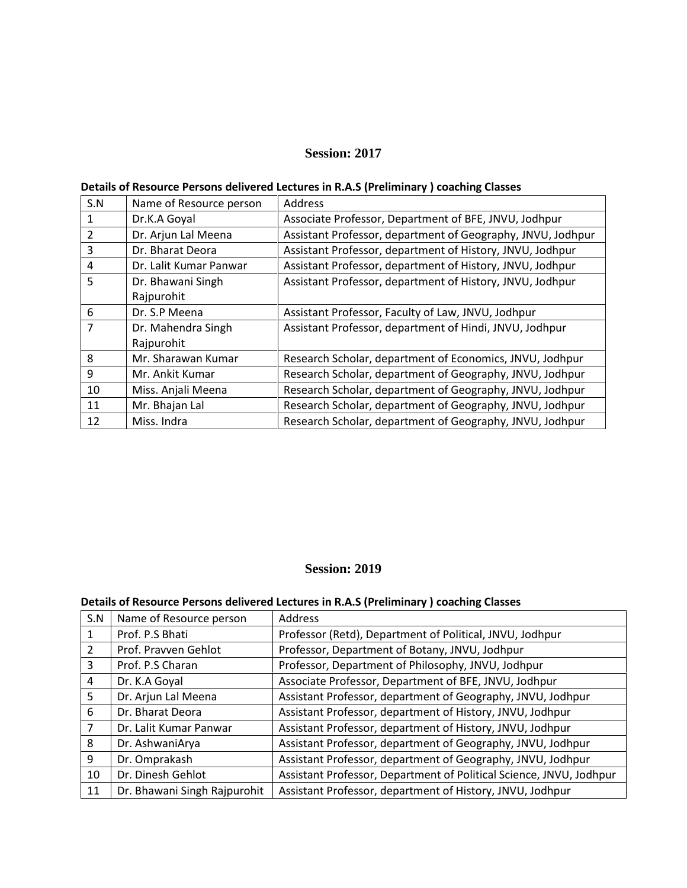# **Session: 2017**

## **Details of Resource Persons delivered Lectures in R.A.S (Preliminary ) coaching Classes**

| S.N            | Name of Resource person | Address                                                     |
|----------------|-------------------------|-------------------------------------------------------------|
|                | Dr.K.A Goyal            | Associate Professor, Department of BFE, JNVU, Jodhpur       |
| $\mathfrak{p}$ | Dr. Arjun Lal Meena     | Assistant Professor, department of Geography, JNVU, Jodhpur |
| 3              | Dr. Bharat Deora        | Assistant Professor, department of History, JNVU, Jodhpur   |
| 4              | Dr. Lalit Kumar Panwar  | Assistant Professor, department of History, JNVU, Jodhpur   |
| 5              | Dr. Bhawani Singh       | Assistant Professor, department of History, JNVU, Jodhpur   |
|                | Rajpurohit              |                                                             |
| 6              | Dr. S.P Meena           | Assistant Professor, Faculty of Law, JNVU, Jodhpur          |
| 7              | Dr. Mahendra Singh      | Assistant Professor, department of Hindi, JNVU, Jodhpur     |
|                | Rajpurohit              |                                                             |
| 8              | Mr. Sharawan Kumar      | Research Scholar, department of Economics, JNVU, Jodhpur    |
| 9              | Mr. Ankit Kumar         | Research Scholar, department of Geography, JNVU, Jodhpur    |
| 10             | Miss. Anjali Meena      | Research Scholar, department of Geography, JNVU, Jodhpur    |
| 11             | Mr. Bhajan Lal          | Research Scholar, department of Geography, JNVU, Jodhpur    |
| 12             | Miss. Indra             | Research Scholar, department of Geography, JNVU, Jodhpur    |

# **Session: 2019**

# **Details of Resource Persons delivered Lectures in R.A.S (Preliminary ) coaching Classes**

| S.N | Name of Resource person      | Address                                                             |
|-----|------------------------------|---------------------------------------------------------------------|
| 1   | Prof. P.S Bhati              | Professor (Retd), Department of Political, JNVU, Jodhpur            |
| 2   | Prof. Pravven Gehlot         | Professor, Department of Botany, JNVU, Jodhpur                      |
| 3   | Prof. P.S Charan             | Professor, Department of Philosophy, JNVU, Jodhpur                  |
| 4   | Dr. K.A Goyal                | Associate Professor, Department of BFE, JNVU, Jodhpur               |
| 5   | Dr. Arjun Lal Meena          | Assistant Professor, department of Geography, JNVU, Jodhpur         |
| 6   | Dr. Bharat Deora             | Assistant Professor, department of History, JNVU, Jodhpur           |
| 7   | Dr. Lalit Kumar Panwar       | Assistant Professor, department of History, JNVU, Jodhpur           |
| 8   | Dr. AshwaniArya              | Assistant Professor, department of Geography, JNVU, Jodhpur         |
| 9   | Dr. Omprakash                | Assistant Professor, department of Geography, JNVU, Jodhpur         |
| 10  | Dr. Dinesh Gehlot            | Assistant Professor, Department of Political Science, JNVU, Jodhpur |
| 11  | Dr. Bhawani Singh Rajpurohit | Assistant Professor, department of History, JNVU, Jodhpur           |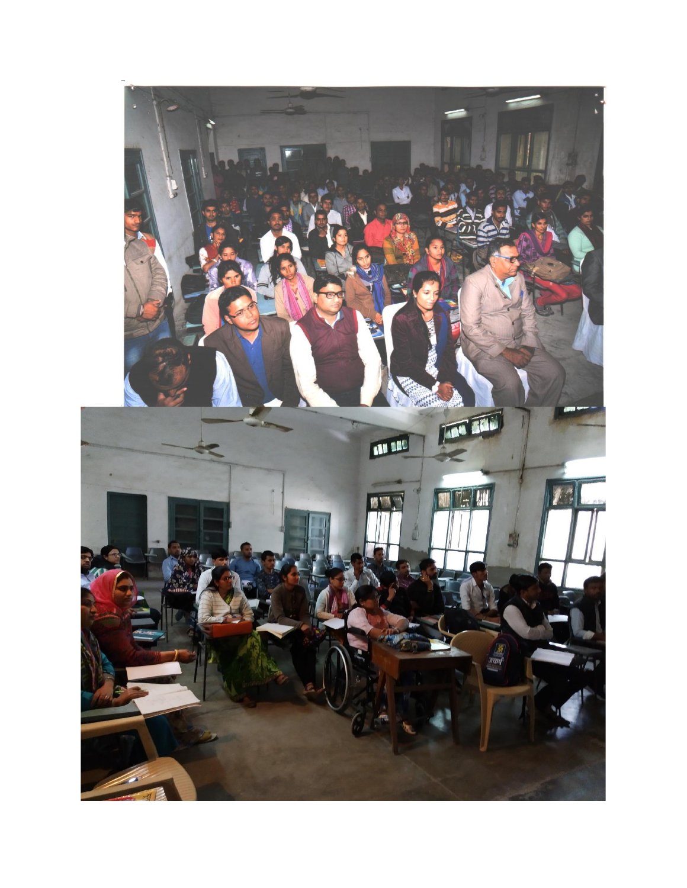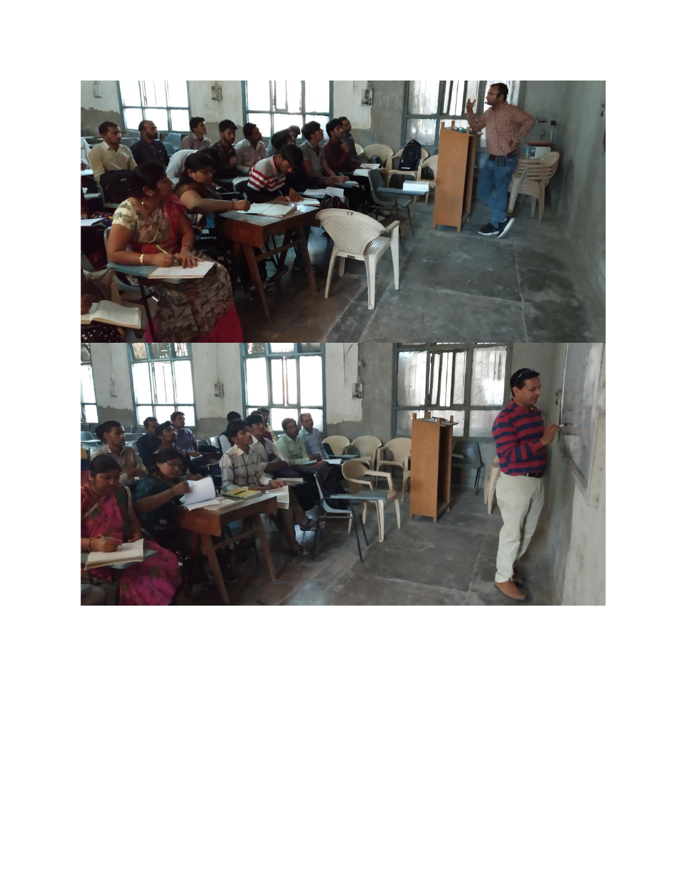